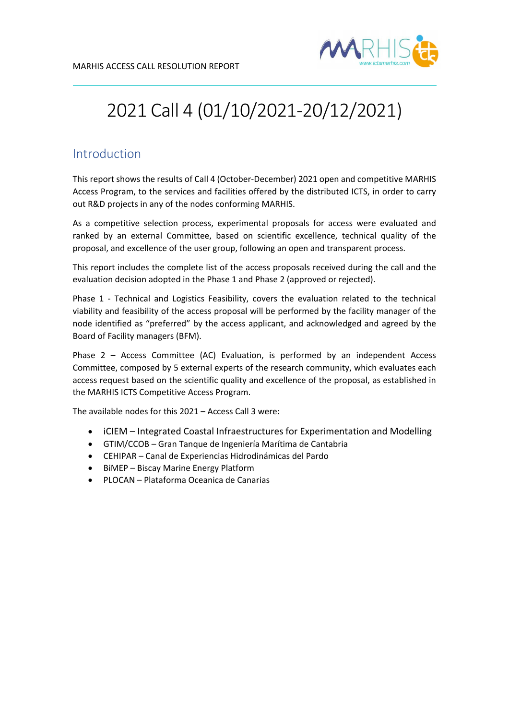

## 2021 Call 4 (01/10/2021-20/12/2021)

## Introduction

This report shows the results of Call 4 (October-December) 2021 open and competitive MARHIS Access Program, to the services and facilities offered by the distributed ICTS, in order to carry out R&D projects in any of the nodes conforming MARHIS.

As a competitive selection process, experimental proposals for access were evaluated and ranked by an external Committee, based on scientific excellence, technical quality of the proposal, and excellence of the user group, following an open and transparent process.

This report includes the complete list of the access proposals received during the call and the evaluation decision adopted in the Phase 1 and Phase 2 (approved or rejected).

Phase 1 - Technical and Logistics Feasibility, covers the evaluation related to the technical viability and feasibility of the access proposal will be performed by the facility manager of the node identified as "preferred" by the access applicant, and acknowledged and agreed by the Board of Facility managers (BFM).

Phase 2 – Access Committee (AC) Evaluation, is performed by an independent Access Committee, composed by 5 external experts of the research community, which evaluates each access request based on the scientific quality and excellence of the proposal, as established in the MARHIS ICTS Competitive Access Program.

The available nodes for this 2021 – Access Call 3 were:

- iCIEM Integrated Coastal Infraestructures for Experimentation and Modelling
- GTIM/CCOB Gran Tanque de Ingeniería Marítima de Cantabria
- CEHIPAR Canal de Experiencias Hidrodinámicas del Pardo
- BiMEP Biscay Marine Energy Platform
- PLOCAN Plataforma Oceanica de Canarias